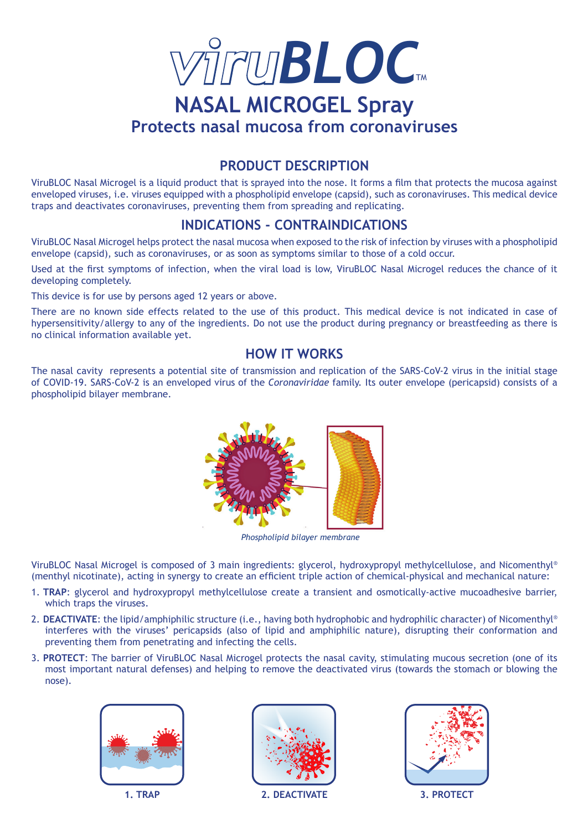

# **PRODUCT DESCRIPTION**

ViruBLOC Nasal Microgel is a liquid product that is sprayed into the nose. It forms a film that protects the mucosa against enveloped viruses, i.e. viruses equipped with a phospholipid envelope (capsid), such as coronaviruses. This medical device traps and deactivates coronaviruses, preventing them from spreading and replicating.

# **INDICATIONS - CONTRAINDICATIONS**

ViruBLOC Nasal Microgel helps protect the nasal mucosa when exposed to the risk of infection by viruses with a phospholipid envelope (capsid), such as coronaviruses, or as soon as symptoms similar to those of a cold occur.

Used at the first symptoms of infection, when the viral load is low, ViruBLOC Nasal Microgel reduces the chance of it developing completely.

This device is for use by persons aged 12 years or above.

There are no known side effects related to the use of this product. This medical device is not indicated in case of hypersensitivity/allergy to any of the ingredients. Do not use the product during pregnancy or breastfeeding as there is no clinical information available yet.

## **HOW IT WORKS**

The nasal cavity represents a potential site of transmission and replication of the SARS-CoV-2 virus in the initial stage of COVID-19. SARS-CoV-2 is an enveloped virus of the *Coronaviridae* family. Its outer envelope (pericapsid) consists of a phospholipid bilayer membrane.



 *Phospholipid bilayer membrane*

ViruBLOC Nasal Microgel is composed of 3 main ingredients: glycerol, hydroxypropyl methylcellulose, and Nicomenthyl® (menthyl nicotinate), acting in synergy to create an efficient triple action of chemical-physical and mechanical nature:

- 1. **TRAP**: glycerol and hydroxypropyl methylcellulose create a transient and osmotically-active mucoadhesive barrier, which traps the viruses.
- 2. DEACTIVATE: the lipid/amphiphilic structure (i.e., having both hydrophobic and hydrophilic character) of Nicomenthyl® interferes with the viruses' pericapsids (also of lipid and amphiphilic nature), disrupting their conformation and preventing them from penetrating and infecting the cells.
- 3. **PROTECT**: The barrier of ViruBLOC Nasal Microgel protects the nasal cavity, stimulating mucous secretion (one of its most important natural defenses) and helping to remove the deactivated virus (towards the stomach or blowing the nose).